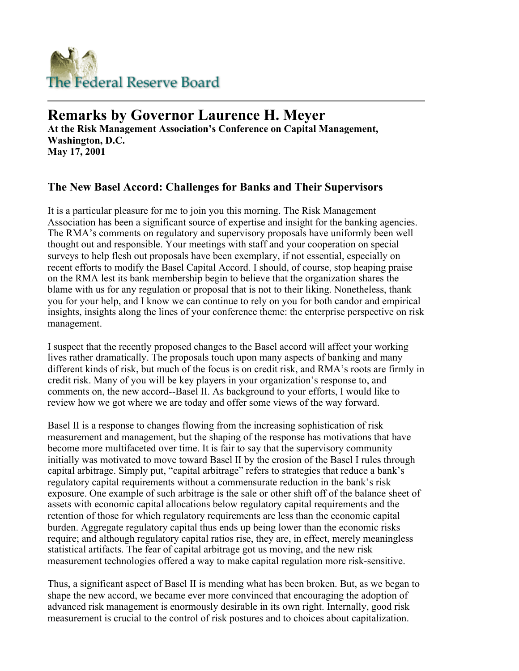

## **Remarks by Governor Laurence H. Meyer**

**At the Risk Management Association's Conference on Capital Management, Washington, D.C. May 17, 2001** 

## **The New Basel Accord: Challenges for Banks and Their Supervisors**

It is a particular pleasure for me to join you this morning. The Risk Management Association has been a significant source of expertise and insight for the banking agencies. The RMA's comments on regulatory and supervisory proposals have uniformly been well thought out and responsible. Your meetings with staff and your cooperation on special surveys to help flesh out proposals have been exemplary, if not essential, especially on recent efforts to modify the Basel Capital Accord. I should, of course, stop heaping praise on the RMA lest its bank membership begin to believe that the organization shares the blame with us for any regulation or proposal that is not to their liking. Nonetheless, thank you for your help, and I know we can continue to rely on you for both candor and empirical insights, insights along the lines of your conference theme: the enterprise perspective on risk management.

I suspect that the recently proposed changes to the Basel accord will affect your working lives rather dramatically. The proposals touch upon many aspects of banking and many different kinds of risk, but much of the focus is on credit risk, and RMA's roots are firmly in credit risk. Many of you will be key players in your organization's response to, and comments on, the new accord--Basel II. As background to your efforts, I would like to review how we got where we are today and offer some views of the way forward.

Basel II is a response to changes flowing from the increasing sophistication of risk measurement and management, but the shaping of the response has motivations that have become more multifaceted over time. It is fair to say that the supervisory community initially was motivated to move toward Basel II by the erosion of the Basel I rules through capital arbitrage. Simply put, "capital arbitrage" refers to strategies that reduce a bank's regulatory capital requirements without a commensurate reduction in the bank's risk exposure. One example of such arbitrage is the sale or other shift off of the balance sheet of assets with economic capital allocations below regulatory capital requirements and the retention of those for which regulatory requirements are less than the economic capital burden. Aggregate regulatory capital thus ends up being lower than the economic risks require; and although regulatory capital ratios rise, they are, in effect, merely meaningless statistical artifacts. The fear of capital arbitrage got us moving, and the new risk measurement technologies offered a way to make capital regulation more risk-sensitive.

Thus, a significant aspect of Basel II is mending what has been broken. But, as we began to shape the new accord, we became ever more convinced that encouraging the adoption of advanced risk management is enormously desirable in its own right. Internally, good risk measurement is crucial to the control of risk postures and to choices about capitalization.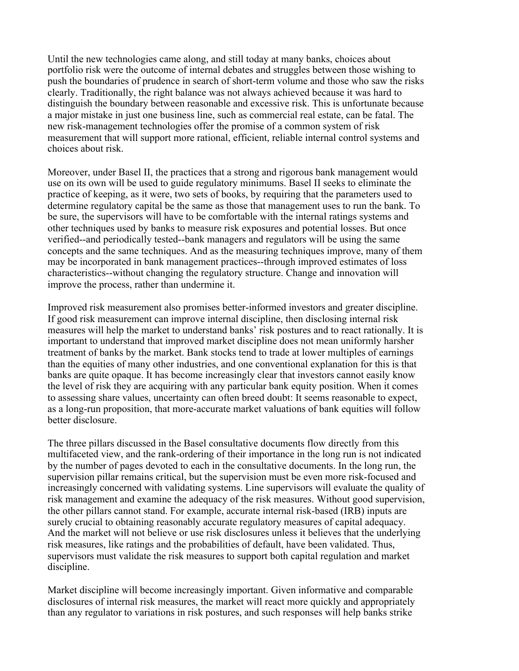Until the new technologies came along, and still today at many banks, choices about portfolio risk were the outcome of internal debates and struggles between those wishing to push the boundaries of prudence in search of short-term volume and those who saw the risks clearly. Traditionally, the right balance was not always achieved because it was hard to distinguish the boundary between reasonable and excessive risk. This is unfortunate because a major mistake in just one business line, such as commercial real estate, can be fatal. The new risk-management technologies offer the promise of a common system of risk measurement that will support more rational, efficient, reliable internal control systems and choices about risk.

Moreover, under Basel II, the practices that a strong and rigorous bank management would use on its own will be used to guide regulatory minimums. Basel II seeks to eliminate the practice of keeping, as it were, two sets of books, by requiring that the parameters used to determine regulatory capital be the same as those that management uses to run the bank. To be sure, the supervisors will have to be comfortable with the internal ratings systems and other techniques used by banks to measure risk exposures and potential losses. But once verified--and periodically tested--bank managers and regulators will be using the same concepts and the same techniques. And as the measuring techniques improve, many of them may be incorporated in bank management practices--through improved estimates of loss characteristics--without changing the regulatory structure. Change and innovation will improve the process, rather than undermine it.

Improved risk measurement also promises better-informed investors and greater discipline. If good risk measurement can improve internal discipline, then disclosing internal risk measures will help the market to understand banks' risk postures and to react rationally. It is important to understand that improved market discipline does not mean uniformly harsher treatment of banks by the market. Bank stocks tend to trade at lower multiples of earnings than the equities of many other industries, and one conventional explanation for this is that banks are quite opaque. It has become increasingly clear that investors cannot easily know the level of risk they are acquiring with any particular bank equity position. When it comes to assessing share values, uncertainty can often breed doubt: It seems reasonable to expect, as a long-run proposition, that more-accurate market valuations of bank equities will follow better disclosure.

The three pillars discussed in the Basel consultative documents flow directly from this multifaceted view, and the rank-ordering of their importance in the long run is not indicated by the number of pages devoted to each in the consultative documents. In the long run, the supervision pillar remains critical, but the supervision must be even more risk-focused and increasingly concerned with validating systems. Line supervisors will evaluate the quality of risk management and examine the adequacy of the risk measures. Without good supervision, the other pillars cannot stand. For example, accurate internal risk-based (IRB) inputs are surely crucial to obtaining reasonably accurate regulatory measures of capital adequacy. And the market will not believe or use risk disclosures unless it believes that the underlying risk measures, like ratings and the probabilities of default, have been validated. Thus, supervisors must validate the risk measures to support both capital regulation and market discipline.

Market discipline will become increasingly important. Given informative and comparable disclosures of internal risk measures, the market will react more quickly and appropriately than any regulator to variations in risk postures, and such responses will help banks strike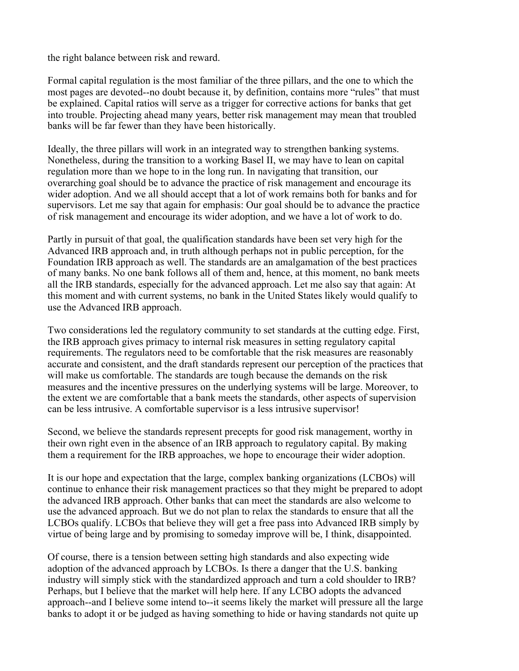the right balance between risk and reward.

Formal capital regulation is the most familiar of the three pillars, and the one to which the most pages are devoted--no doubt because it, by definition, contains more "rules" that must be explained. Capital ratios will serve as a trigger for corrective actions for banks that get into trouble. Projecting ahead many years, better risk management may mean that troubled banks will be far fewer than they have been historically.

Ideally, the three pillars will work in an integrated way to strengthen banking systems. Nonetheless, during the transition to a working Basel II, we may have to lean on capital regulation more than we hope to in the long run. In navigating that transition, our overarching goal should be to advance the practice of risk management and encourage its wider adoption. And we all should accept that a lot of work remains both for banks and for supervisors. Let me say that again for emphasis: Our goal should be to advance the practice of risk management and encourage its wider adoption, and we have a lot of work to do.

Partly in pursuit of that goal, the qualification standards have been set very high for the Advanced IRB approach and, in truth although perhaps not in public perception, for the Foundation IRB approach as well. The standards are an amalgamation of the best practices of many banks. No one bank follows all of them and, hence, at this moment, no bank meets all the IRB standards, especially for the advanced approach. Let me also say that again: At this moment and with current systems, no bank in the United States likely would qualify to use the Advanced IRB approach.

Two considerations led the regulatory community to set standards at the cutting edge. First, the IRB approach gives primacy to internal risk measures in setting regulatory capital requirements. The regulators need to be comfortable that the risk measures are reasonably accurate and consistent, and the draft standards represent our perception of the practices that will make us comfortable. The standards are tough because the demands on the risk measures and the incentive pressures on the underlying systems will be large. Moreover, to the extent we are comfortable that a bank meets the standards, other aspects of supervision can be less intrusive. A comfortable supervisor is a less intrusive supervisor!

Second, we believe the standards represent precepts for good risk management, worthy in their own right even in the absence of an IRB approach to regulatory capital. By making them a requirement for the IRB approaches, we hope to encourage their wider adoption.

It is our hope and expectation that the large, complex banking organizations (LCBOs) will continue to enhance their risk management practices so that they might be prepared to adopt the advanced IRB approach. Other banks that can meet the standards are also welcome to use the advanced approach. But we do not plan to relax the standards to ensure that all the LCBOs qualify. LCBOs that believe they will get a free pass into Advanced IRB simply by virtue of being large and by promising to someday improve will be, I think, disappointed.

Of course, there is a tension between setting high standards and also expecting wide adoption of the advanced approach by LCBOs. Is there a danger that the U.S. banking industry will simply stick with the standardized approach and turn a cold shoulder to IRB? Perhaps, but I believe that the market will help here. If any LCBO adopts the advanced approach--and I believe some intend to--it seems likely the market will pressure all the large banks to adopt it or be judged as having something to hide or having standards not quite up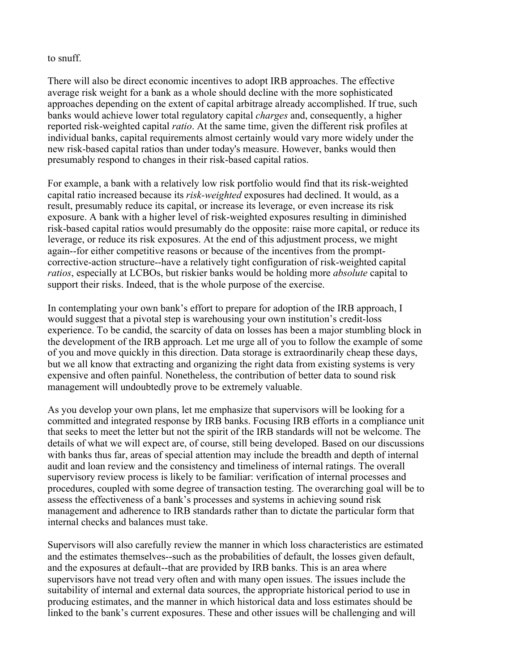## to snuff.

There will also be direct economic incentives to adopt IRB approaches. The effective average risk weight for a bank as a whole should decline with the more sophisticated approaches depending on the extent of capital arbitrage already accomplished. If true, such banks would achieve lower total regulatory capital *charges* and, consequently, a higher reported risk-weighted capital *ratio*. At the same time, given the different risk profiles at individual banks, capital requirements almost certainly would vary more widely under the new risk-based capital ratios than under today's measure. However, banks would then presumably respond to changes in their risk-based capital ratios.

For example, a bank with a relatively low risk portfolio would find that its risk-weighted capital ratio increased because its *risk-weighted* exposures had declined. It would, as a result, presumably reduce its capital, or increase its leverage, or even increase its risk exposure. A bank with a higher level of risk-weighted exposures resulting in diminished risk-based capital ratios would presumably do the opposite: raise more capital, or reduce its leverage, or reduce its risk exposures. At the end of this adjustment process, we might again--for either competitive reasons or because of the incentives from the promptcorrective-action structure--have a relatively tight configuration of risk-weighted capital *ratios*, especially at LCBOs, but riskier banks would be holding more *absolute* capital to support their risks. Indeed, that is the whole purpose of the exercise.

In contemplating your own bank's effort to prepare for adoption of the IRB approach, I would suggest that a pivotal step is warehousing your own institution's credit-loss experience. To be candid, the scarcity of data on losses has been a major stumbling block in the development of the IRB approach. Let me urge all of you to follow the example of some of you and move quickly in this direction. Data storage is extraordinarily cheap these days, but we all know that extracting and organizing the right data from existing systems is very expensive and often painful. Nonetheless, the contribution of better data to sound risk management will undoubtedly prove to be extremely valuable.

As you develop your own plans, let me emphasize that supervisors will be looking for a committed and integrated response by IRB banks. Focusing IRB efforts in a compliance unit that seeks to meet the letter but not the spirit of the IRB standards will not be welcome. The details of what we will expect are, of course, still being developed. Based on our discussions with banks thus far, areas of special attention may include the breadth and depth of internal audit and loan review and the consistency and timeliness of internal ratings. The overall supervisory review process is likely to be familiar: verification of internal processes and procedures, coupled with some degree of transaction testing. The overarching goal will be to assess the effectiveness of a bank's processes and systems in achieving sound risk management and adherence to IRB standards rather than to dictate the particular form that internal checks and balances must take.

Supervisors will also carefully review the manner in which loss characteristics are estimated and the estimates themselves--such as the probabilities of default, the losses given default, and the exposures at default--that are provided by IRB banks. This is an area where supervisors have not tread very often and with many open issues. The issues include the suitability of internal and external data sources, the appropriate historical period to use in producing estimates, and the manner in which historical data and loss estimates should be linked to the bank's current exposures. These and other issues will be challenging and will